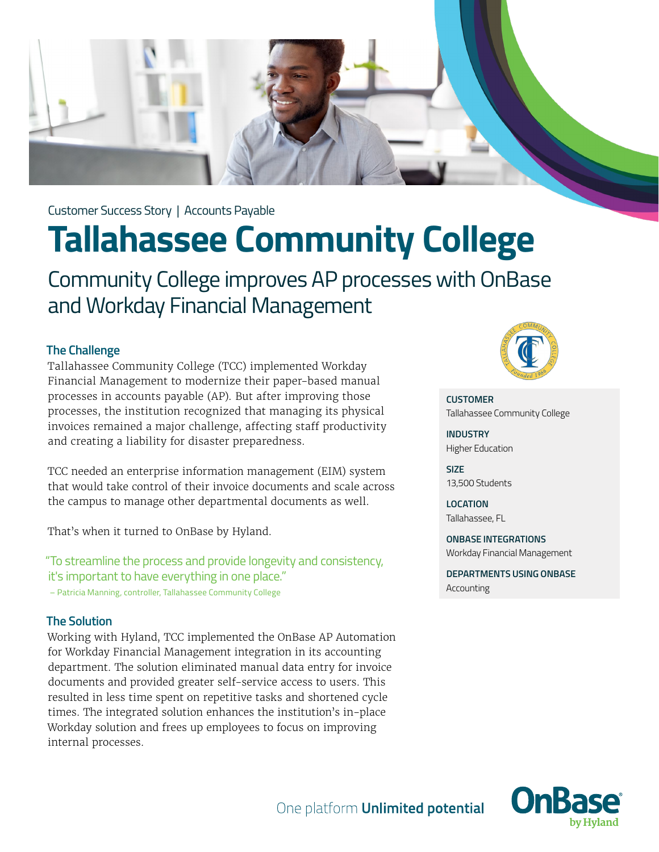

Customer Success Story | Accounts Payable

# **Tallahassee Community College**

Community College improves AP processes with OnBase and Workday Financial Management

## **The Challenge**

Tallahassee Community College (TCC) implemented Workday Financial Management to modernize their paper-based manual processes in accounts payable (AP). But after improving those processes, the institution recognized that managing its physical invoices remained a major challenge, affecting staff productivity and creating a liability for disaster preparedness.

TCC needed an enterprise information management (EIM) system that would take control of their invoice documents and scale across the campus to manage other departmental documents as well.

That's when it turned to OnBase by Hyland.

"To streamline the process and provide longevity and consistency, it's important to have everything in one place." – Patricia Manning, controller, Tallahassee Community College

### **The Solution**

Working with Hyland, TCC implemented the OnBase AP Automation for Workday Financial Management integration in its accounting department. The solution eliminated manual data entry for invoice documents and provided greater self-service access to users. This resulted in less time spent on repetitive tasks and shortened cycle times. The integrated solution enhances the institution's in-place Workday solution and frees up employees to focus on improving internal processes.



**CUSTOMER** Tallahassee Community College

**INDUSTRY** Higher Education

**SIZE** 13,500 Students

**LOCATION** Tallahassee, FL

**ONBASE INTEGRATIONS** Workday Financial Management

**DEPARTMENTS USING ONBASE** Accounting